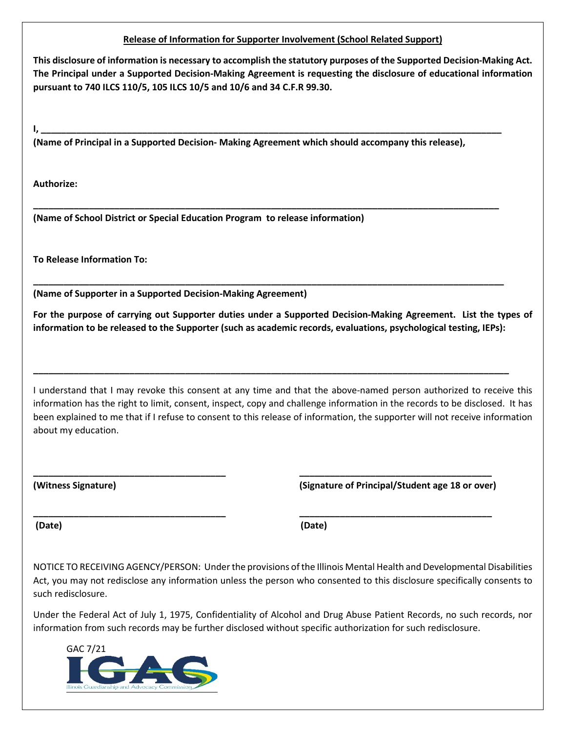## **Release of Information for Supporter Involvement (School Related Support)**

**This disclosure of information is necessary to accomplish the statutory purposes of the Supported Decision-Making Act. The Principal under a Supported Decision-Making Agreement is requesting the disclosure of educational information pursuant to 740 ILCS 110/5, 105 ILCS 10/5 and 10/6 and 34 C.F.R 99.30.** 

**(Name of Principal in a Supported Decision- Making Agreement which should accompany this release),** 

**I, \_\_\_\_\_\_\_\_\_\_\_\_\_\_\_\_\_\_\_\_\_\_\_\_\_\_\_\_\_\_\_\_\_\_\_\_\_\_\_\_\_\_\_\_\_\_\_\_\_\_\_\_\_\_\_\_\_\_\_\_\_\_\_\_\_\_\_\_\_\_\_\_\_\_\_\_\_\_\_\_\_\_\_\_\_\_\_\_\_\_\_**

**\_\_\_\_\_\_\_\_\_\_\_\_\_\_\_\_\_\_\_\_\_\_\_\_\_\_\_\_\_\_\_\_\_\_\_\_\_\_\_\_\_\_\_\_\_\_\_\_\_\_\_\_\_\_\_\_\_\_\_\_\_\_\_\_\_\_\_\_\_\_\_\_\_\_\_\_\_\_\_\_\_\_\_\_\_\_\_\_\_\_\_\_** 

**\_\_\_\_\_\_\_\_\_\_\_\_\_\_\_\_\_\_\_\_\_\_\_\_\_\_\_\_\_\_\_\_\_\_\_\_\_\_\_\_\_\_\_\_\_\_\_\_\_\_\_\_\_\_\_\_\_\_\_\_\_\_\_\_\_\_\_\_\_\_\_\_\_\_\_\_\_\_\_\_\_\_\_\_\_\_\_\_\_\_\_\_\_**

**\_\_\_\_\_\_\_\_\_\_\_\_\_\_\_\_\_\_\_\_\_\_\_\_\_\_\_\_\_\_\_\_\_\_\_\_\_\_\_\_\_\_\_\_\_\_\_\_\_\_\_\_\_\_\_\_\_\_\_\_\_\_\_\_\_\_\_\_\_\_\_\_\_\_\_\_\_\_\_\_\_\_\_\_\_\_\_\_\_\_\_\_\_\_**

**\_\_\_\_\_\_\_\_\_\_\_\_\_\_\_\_\_\_\_\_\_\_\_\_\_\_\_\_\_\_\_\_\_\_\_\_\_\_ \_\_\_\_\_\_\_\_\_\_\_\_\_\_\_\_\_\_\_\_\_\_\_\_\_\_\_\_\_\_\_\_\_\_\_\_\_\_**

**\_\_\_\_\_\_\_\_\_\_\_\_\_\_\_\_\_\_\_\_\_\_\_\_\_\_\_\_\_\_\_\_\_\_\_\_\_\_ \_\_\_\_\_\_\_\_\_\_\_\_\_\_\_\_\_\_\_\_\_\_\_\_\_\_\_\_\_\_\_\_\_\_\_\_\_\_**

**Authorize:**

**(Name of School District or Special Education Program to release information)**

**To Release Information To:** 

**(Name of Supporter in a Supported Decision-Making Agreement)**

**For the purpose of carrying out Supporter duties under a Supported Decision-Making Agreement. List the types of information to be released to the Supporter (such as academic records, evaluations, psychological testing, IEPs):**

I understand that I may revoke this consent at any time and that the above-named person authorized to receive this information has the right to limit, consent, inspect, copy and challenge information in the records to be disclosed. It has been explained to me that if I refuse to consent to this release of information, the supporter will not receive information about my education.

**(Witness Signature) (Signature of Principal/Student age 18 or over)**

**(Date) (Date)**

NOTICE TO RECEIVING AGENCY/PERSON: Under the provisions of the Illinois Mental Health and Developmental Disabilities Act, you may not redisclose any information unless the person who consented to this disclosure specifically consents to such redisclosure.

Under the Federal Act of July 1, 1975, Confidentiality of Alcohol and Drug Abuse Patient Records, no such records, nor information from such records may be further disclosed without specific authorization for such redisclosure.